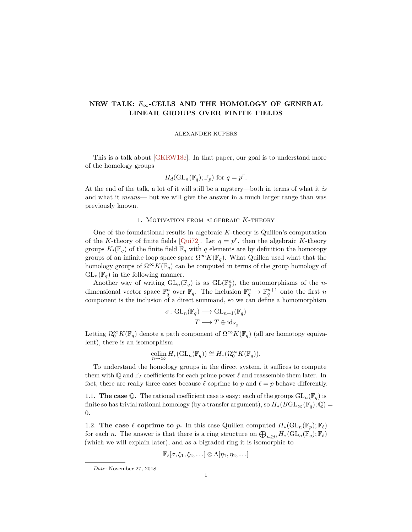# <span id="page-0-0"></span>**NRW TALK:** *E*∞**-CELLS AND THE HOMOLOGY OF GENERAL LINEAR GROUPS OVER FINITE FIELDS**

#### ALEXANDER KUPERS

This is a talk about [\[GKRW18c\]](#page-8-0). In that paper, our goal is to understand more of the homology groups

$$
H_d(\mathrm{GL}_n(\mathbb{F}_q); \mathbb{F}_p) \text{ for } q = p^r.
$$

At the end of the talk, a lot of it will still be a mystery—both in terms of what it *is* and what it *means*— but we will give the answer in a much larger range than was previously known.

#### 1. Motivation from algebraic *K*-theory

One of the foundational results in algebraic *K*-theory is Quillen's computation of the *K*-theory of finite fields [\[Qui72\]](#page-8-1). Let  $q = p^r$ , then the algebraic *K*-theory groups  $K_i(\mathbb{F}_q)$  of the finite field  $\mathbb{F}_q$  with  $q$  elements are by definition the homotopy groups of an infinite loop space space  $\Omega^{\infty}K(\mathbb{F}_q)$ . What Quillen used what that the homology groups of  $\Omega^{\infty}K(\mathbb{F}_q)$  can be computed in terms of the group homology of  $GL_n(\mathbb{F}_q)$  in the following manner.

Another way of writing  $GL_n(\mathbb{F}_q)$  is as  $GL(\mathbb{F}_q^n)$ , the automorphisms of the *n*dimensional vector space  $\mathbb{F}_q^n$  over  $\mathbb{F}_q$ . The inclusion  $\mathbb{F}_q^n \to \mathbb{F}_q^{n+1}$  onto the first *n* component is the inclusion of a direct summand, so we can define a homomorphism

$$
\sigma: GL_n(\mathbb{F}_q) \longrightarrow GL_{n+1}(\mathbb{F}_q)
$$

$$
T \longmapsto T \oplus id_{\mathbb{F}_q}
$$

Letting  $\Omega_0^{\infty} K(\mathbb{F}_q)$  denote a path component of  $\Omega^{\infty} K(\mathbb{F}_q)$  (all are homotopy equivalent), there is an isomorphism

$$
\underset{n\to\infty}{\text{colim}} H_*(\text{GL}_n(\mathbb{F}_q)) \cong H_*(\Omega_0^{\infty}K(\mathbb{F}_q)).
$$

To understand the homology groups in the direct system, it suffices to compute them with  $\mathbb Q$  and  $\mathbb F_\ell$  coefficients for each prime power  $\ell$  and reassemble them later. In fact, there are really three cases because  $\ell$  coprime to  $p$  and  $\ell = p$  behave differently.

1.1. **The case**  $\mathbb{Q}$ . The rational coefficient case is easy: each of the groups  $GL_n(\mathbb{F}_q)$  is finite so has trivial rational homology (by a transfer argument), so  $\tilde{H}_*(BGL_\infty(\mathbb{F}_q);\mathbb{Q})=$ 0.

1.2. **The case**  $\ell$  **coprime to**  $p$ . In this case Quillen computed  $H_*(\mathrm{GL}_n(\mathbb{F}_p); \mathbb{F}_\ell)$ for each *n*. The answer is that there is a ring structure on  $\bigoplus_{n\geq 0} H_*(\mathrm{GL}_n(\mathbb{F}_q); \mathbb{F}_\ell)$ (which we will explain later), and as a bigraded ring it is isomorphic to

$$
\mathbb{F}_{\ell}[\sigma,\xi_1,\xi_2,\ldots]\otimes\Lambda[\eta_1,\eta_2,\ldots]
$$

*Date*: November 27, 2018.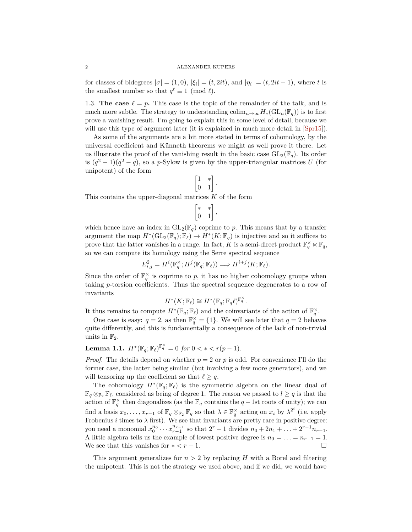<span id="page-1-0"></span>for classes of bidegrees  $|\sigma| = (1,0)$ ,  $|\xi_i| = (t, 2it)$ , and  $|\eta_i| = (t, 2it - 1)$ , where *t* is the smallest number so that  $q^t \equiv 1 \pmod{l}$ .

1.3. **The case**  $\ell = p$ . This case is the topic of the remainder of the talk, and is much more subtle. The strategy to understanding  $\text{colim}_{n\to\infty}H_*(\text{GL}_n(\mathbb{F}_q))$  is to first prove a vanishing result. I'm going to explain this in some level of detail, because we will use this type of argument later (it is explained in much more detail in  $\text{Spr15}$ ).

As some of the arguments are a bit more stated in terms of cohomology, by the universal coefficient and Künneth theorems we might as well prove it there. Let us illustrate the proof of the vanishing result in the basic case  $GL_2(\mathbb{F}_q)$ . Its order is  $(q^2-1)(q^2-q)$ , so a *p*-Sylow is given by the upper-triangular matrices *U* (for unipotent) of the form

$$
\begin{bmatrix} 1 & * \\ 0 & 1 \end{bmatrix}
$$

*.*

This contains the upper-diagonal matrices *K* of the form

$$
\begin{bmatrix} * & * \\ 0 & 1 \end{bmatrix},
$$

which hence have an index in  $GL_2(\mathbb{F}_q)$  coprime to p. This means that by a transfer argument the map  $H^*(\mathrm{GL}_2(\mathbb{F}_q); \mathbb{F}_\ell) \to H^*(K; \mathbb{F}_q)$  is injective and so it suffices to prove that the latter vanishes in a range. In fact,  $\tilde{K}$  is a semi-direct product  $\mathbb{F}_q^{\times} \ltimes \mathbb{F}_q$ , so we can compute its homology using the Serre spectral sequence

$$
E_{i,j}^2 = H^i(\mathbb{F}_q^{\times}; H^j(\mathbb{F}_q; \mathbb{F}_\ell)) \Longrightarrow H^{i+j}(K; \mathbb{F}_\ell).
$$

Since the order of  $\mathbb{F}_q^{\times}$  is coprime to p, it has no higher cohomology groups when taking *p*-torsion coefficients. Thus the spectral sequence degenerates to a row of invariants

$$
H^*(K; \mathbb{F}_{\ell}) \cong H^*(\mathbb{F}_q; \mathbb{F}_q\ell)^{\mathbb{F}_q^{\times}}.
$$

It thus remains to compute  $H^*(\mathbb{F}_q; \mathbb{F}_\ell)$  and the coinvariants of the action of  $\mathbb{F}_q^{\times}$ .

One case is easy:  $q = 2$ , as then  $\mathbb{F}_q^{\times} = \{1\}$ . We will see later that  $q = 2$  behaves quite differently, and this is fundamentally a consequence of the lack of non-trivial units in  $\mathbb{F}_2$ .

**Lemma 1.1.**  $H^*(\mathbb{F}_q; \mathbb{F}_\ell)^{\mathbb{F}_q^{\times}} = 0$  *for*  $0 < * < r(p-1)$ *.* 

*Proof.* The details depend on whether  $p = 2$  or  $p$  is odd. For convenience I'll do the former case, the latter being similar (but involving a few more generators), and we will tensoring up the coefficient so that  $\ell \geq q$ .

The cohomology  $H^*(\mathbb{F}_q; \mathbb{F}_\ell)$  is the symmetric algebra on the linear dual of  $\mathbb{F}_q \otimes_{\mathbb{F}_2} \mathbb{F}_\ell$ , considered as being of degree 1. The reason we passed to  $l \geq q$  is that the action of  $\mathbb{F}_q^{\times}$  then diagonalizes (as the  $\mathbb{F}_q$  contains the *q* − 1st roots of unity); we can find a basis  $x_0, \ldots, x_{r-1}$  of  $\mathbb{F}_q \otimes_{\mathbb{F}_2} \mathbb{F}_q$  so that  $\lambda \in \mathbb{F}_q^{\times}$  acting on  $x_i$  by  $\lambda^{2^i}$  (i.e. apply Frobenius *i* times to  $\lambda$  first). We see that invariants are pretty rare in positive degree: you need a monomial  $x_0^{n_0} \cdots x_{r-1}^{n_{r-1}}$  so that  $2^r - 1$  divides  $n_0 + 2n_1 + \ldots + 2^{r-1}n_{r-1}$ . A little algebra tells us the example of lowest positive degree is  $n_0 = \ldots = n_{r-1} = 1$ . We see that this vanishes for  $\ast < r - 1$ .

This argument generalizes for  $n > 2$  by replacing *H* with a Borel and filtering the unipotent. This is not the strategy we used above, and if we did, we would have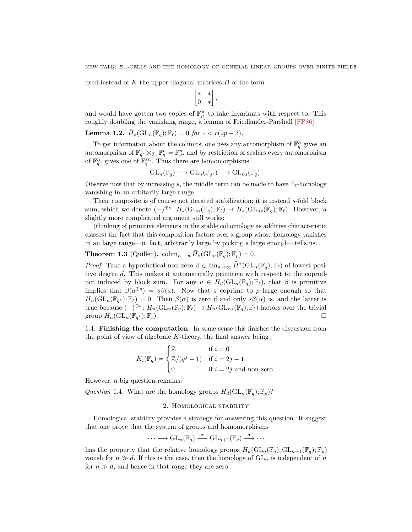<span id="page-2-0"></span>used instead of *K* the upper-diagonal matrices *B* of the form

$$
\begin{bmatrix} * & * \\ 0 & * \end{bmatrix},
$$

and would have gotten two copies of  $\mathbb{F}_p^{\times}$  to take invariants with respect to. This roughly doubling the vanishing range, a lemma of Friedlander-Parshall [\[FP86\]](#page-8-3):

**Lemma 1.2.**  $\tilde{H}_*(\mathrm{GL}_n(\mathbb{F}_q); \mathbb{F}_\ell) = 0$  *for*  $* < r(2p - 3)$ *.* 

To get information about the colimits, one uses any automorphism of  $\mathbb{F}_q^n$  gives an automorphism of  $\mathbb{F}_{q^s} \otimes_{\mathbb{F}_q} \mathbb{F}_q^n = \mathbb{F}_{q^s}^n$  and by restriction of scalars every automorphism of  $\mathbb{F}_{q^s}^n$  gives one of  $\mathbb{F}_{q}^{sn}$ . Thus there are homomorphisms

$$
\mathrm{GL}_n(\mathbb{F}_q) \longrightarrow \mathrm{GL}_n(\mathbb{F}_{q^s}) \longrightarrow \mathrm{GL}_{ns}(\mathbb{F}_q).
$$

Observe now that by increasing *s*, the middle term can be made to have  $\mathbb{F}_{\ell}$ -homology vanishing in an arbitarily large range.

Their composite is of course not iterated stabilization; it is instead *s*-fold block sum, which we denote  $(-)^{\oplus s}$ :  $H_*(\mathrm{GL}_n(\mathbb{F}_q); \mathbb{F}_\ell) \to H_*(\mathrm{GL}_{ns}(\mathbb{F}_q); \mathbb{F}_\ell)$ . However, a slightly more complicated argument still works:

(thinking of primitive elements in the stable cohomology as additive characteristic classes) the fact that this composition factors over a group whose homology vanishes in an large range—in fact, arbitrarily large by picking *s* large enough—tells us:

**Theorem 1.3** (Quillen). colim<sub>n→∞</sub> $\tilde{H}_*(\mathrm{GL}_n(\mathbb{F}_q); \mathbb{F}_p) = 0$ *.* 

*Proof.* Take a hypothetical non-zero  $\beta \in \lim_{n\to\infty} \tilde{H}^*(\mathrm{GL}_n(\mathbb{F}_q); \mathbb{F}_\ell)$  of lowest positive degree *d*. This makes it automatically primitive with respect to the coproduct induced by block sum. For any  $a \in H_d(\mathrm{GL}_n(\mathbb{F}_q); \mathbb{F}_\ell)$ , that  $\beta$  is primitive implies that  $\beta(a^{\oplus s}) = s\beta(a)$ . Now that *s* coprime to *p* large enough so that  $H_n(\mathrm{GL}_n(\mathbb{F}_{q^s}); \mathbb{F}_\ell) = 0$ . Then  $\beta(\alpha)$  is zero if and only  $s\beta(\alpha)$  is, and the latter is true because  $(-)^{\oplus s}$ :  $H_n(\mathrm{GL}_n(\mathbb{F}_q); \mathbb{F}_\ell) \to H_n(\mathrm{GL}_{ns}(\mathbb{F}_q); \mathbb{F}_\ell)$  factors over the trivial group  $H_n(\mathrm{GL}_n(\mathbb{F}_{q^s}); \mathbb{F}_\ell).$  $(s; \mathbb{F}_\ell).$ 

1.4. **Finishing the computation.** In some sense this finishes the discussion from the point of view of algebraic *K*-theory, the final answer being

$$
K_i(\mathbb{F}_q) = \begin{cases} \mathbb{Z} & \text{if } i = 0\\ \mathbb{Z}/(q^j - 1) & \text{if } i = 2j - 1\\ 0 & \text{if } i = 2j \text{ and non-zero.} \end{cases}
$$

However, a big question remains:

*Question* 1.4. What are the homology groups  $H_d(\mathrm{GL}_n(\mathbb{F}_q); \mathbb{F}_p)$ ?

## 2. Homological stability

Homological stability provides a strategy for answering this question. It suggest that one prove that the system of groups and homomorphisms

$$
\cdots \longrightarrow \mathrm{GL}_n(\mathbb{F}_q) \stackrel{\sigma}{\longrightarrow} \mathrm{GL}_{n+1}(\mathbb{F}_q) \stackrel{\sigma}{\longrightarrow} \cdots
$$

has the property that the relative homology groups  $H_d(\mathrm{GL}_n(\mathbb{F}_q), \mathrm{GL}_{n-1}(\mathbb{F}_q); \mathbb{F}_p)$ vanish for  $n \gg d$ . If this is the case, then the homology of  $GL_n$  is independent of *n* for  $n \gg d$ , and hence in that range they are zero.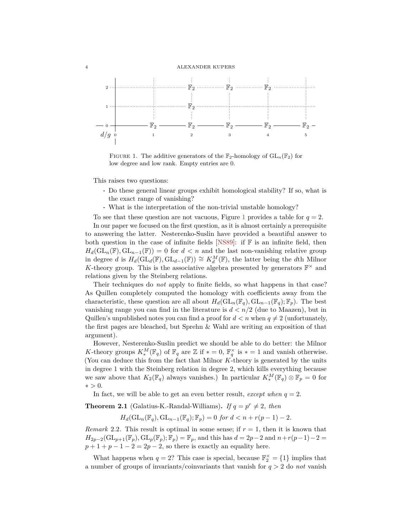#### <span id="page-3-1"></span>4 ALEXANDER KUPERS

<span id="page-3-0"></span>

FIGURE 1. The additive generators of the  $\mathbb{F}_2$ -homology of  $GL_n(\mathbb{F}_2)$  for low degree and low rank. Empty entries are 0.

This raises two questions:

- **·** Do these general linear groups exhibit homological stability? If so, what is the exact range of vanishing?
- **·** What is the interpretation of the non-trivial unstable homology?

To see that these question are not vacuous, Figure [1](#page-3-0) provides a table for  $q = 2$ .

In our paper we focused on the first question, as it is almost certainly a prerequisite to answering the latter. Nesterenko-Suslin have provided a beautiful answer to both question in the case of infinite fields [\[NS89\]](#page-8-4): if  $\mathbb F$  is an infinite field, then  $H_d(\mathrm{GL}_n(\mathbb{F}),\mathrm{GL}_{n-1}(\mathbb{F})) = 0$  for  $d < n$  and the last non-vanishing relative group in degree *d* is  $H_d(\text{GL}_d(\mathbb{F}), \text{GL}_{d-1}(\mathbb{F})) \cong K_d^M(\mathbb{F})$ , the latter being the *d*th Milnor K-theory group. This is the associative algebra presented by generators  $\mathbb{F}^{\times}$  and relations given by the Steinberg relations.

Their techniques do *not* apply to finite fields, so what happens in that case? As Quillen completely computed the homology with coefficients away from the characteristic, these question are all about  $H_d(\mathrm{GL}_n(\mathbb{F}_q), \mathrm{GL}_{n-1}(\mathbb{F}_q); \mathbb{F}_p)$ . The best vanishing range you can find in the literature is *d < n/*2 (due to Maazen), but in Quillen's unpublished notes you can find a proof for  $d < n$  when  $q \neq 2$  (unfortunately, the first pages are bleached, but Sprehn & Wahl are writing an exposition of that argument).

However, Nesterenko-Suslin predict we should be able to do better: the Milnor *K*-theory groups  $K_*^M(\mathbb{F}_q)$  of  $\mathbb{F}_q$  are  $\mathbb{Z}$  if  $* = 0$ ,  $\mathbb{F}_q^{\times}$  is  $* = 1$  and vanish otherwise. (You can deduce this from the fact that Milnor *K*-theory is generated by the units in degree 1 with the Steinberg relation in degree 2, which kills everything because we saw above that  $K_2(\mathbb{F}_q)$  always vanishes.) In particular  $K_*^M(\mathbb{F}_q) \otimes \mathbb{F}_p = 0$  for  $∗ > 0.$ 

In fact, we will be able to get an even better result, *except when*  $q = 2$ .

**Theorem 2.1** (Galatius-K.-Randal-Williams). *If*  $q = p^r \neq 2$ , then

 $H_d(\mathrm{GL}_n(\mathbb{F}_q), \mathrm{GL}_{n-1}(\mathbb{F}_q); \mathbb{F}_p) = 0$  *for*  $d < n + r(p-1) - 2$ *.* 

*Remark* 2.2*.* This result is optimal in some sense; if *r* = 1, then it is known that  $H_{2p-2}(\mathrm{GL}_{p+1}(\mathbb{F}_p), \mathrm{GL}_p(\mathbb{F}_p); \mathbb{F}_p) = \mathbb{F}_p$ , and this has  $d = 2p-2$  and  $n+r(p-1)-2$  $p+1+p-1-2=2p-2$ , so there is exactly an equality here.

What happens when  $q = 2$ ? This case is special, because  $\mathbb{F}_2^{\times} = \{1\}$  implies that a number of groups of invariants/coinvariants that vanish for *q >* 2 do *not* vanish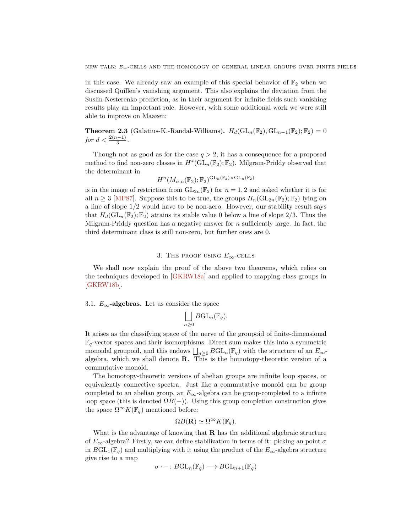<span id="page-4-0"></span>in this case. We already saw an example of this special behavior of  $\mathbb{F}_2$  when we discussed Quillen's vanishing argument. This also explains the deviation from the Suslin-Nesterenko prediction, as in their argument for infinite fields such vanishing results play an important role. However, with some additional work we were still able to improve on Maazen:

**Theorem 2.3** (Galatius-K.-Randal-Williams).  $H_d(\mathrm{GL}_n(\mathbb{F}_2), \mathrm{GL}_{n-1}(\mathbb{F}_2); \mathbb{F}_2) = 0$ *for*  $d < \frac{2(n-1)}{3}$ .

Though not as good as for the case  $q > 2$ , it has a consequence for a proposed method to find non-zero classes in  $H^*(\text{GL}_n(\mathbb{F}_2);\mathbb{F}_2)$ . Milgram-Priddy observed that the determinant in

$$
H^n(M_{n,n}(\mathbb{F}_2);\mathbb{F}_2)^{\operatorname{GL}_n(\mathbb{F}_2)\times\operatorname{GL}_n(\mathbb{F}_2)}
$$

is in the image of restriction from  $GL_{2n}(\mathbb{F}_2)$  for  $n=1,2$  and asked whether it is for all  $n \geq 3$  [\[MP87\]](#page-8-5). Suppose this to be true, the groups  $H_n(\mathrm{GL}_{2n}(\mathbb{F}_2); \mathbb{F}_2)$  lying on a line of slope 1*/*2 would have to be non-zero. However, our stability result says that  $H_d(\mathrm{GL}_n(\mathbb{F}_2);\mathbb{F}_2)$  attains its stable value 0 below a line of slope 2/3. Thus the Milgram-Priddy question has a negative answer for *n* sufficiently large. In fact, the third determinant class is still non-zero, but further ones are 0.

## 3. THE PROOF USING  $E_{\infty}$ -CELLS

We shall now explain the proof of the above two theorems, which relies on the techniques developed in [\[GKRW18a\]](#page-8-6) and applied to mapping class groups in [\[GKRW18b\]](#page-8-7).

## 3.1.  $E_{\infty}$ **-algebras.** Let us consider the space

$$
\bigsqcup_{n\geq 0}B\mathrm{GL}_n(\mathbb{F}_q).
$$

It arises as the classifying space of the nerve of the groupoid of finite-dimensional  $\mathbb{F}_q$ -vector spaces and their isomorphisms. Direct sum makes this into a symmetric monoidal groupoid, and this endows  $\bigsqcup_{n\geq 0} BGL_n(\mathbb{F}_q)$  with the structure of an  $E_\infty$ algebra, which we shall denote **R**. This is the homotopy-theoretic version of a commutative monoid.

The homotopy-theoretic versions of abelian groups are infinite loop spaces, or equivalently connective spectra. Just like a commutative monoid can be group completed to an abelian group, an  $E_{\infty}$ -algebra can be group-completed to a infinite loop space (this is denoted  $\Omega B(-)$ ). Using this group completion construction gives the space  $\Omega^{\infty}K(\mathbb{F}_q)$  mentioned before:

$$
\Omega B(\mathbf{R}) \simeq \Omega^{\infty} K(\mathbb{F}_q).
$$

What is the advantage of knowing that **R** has the additional algebraic structure of *E*∞-algebra? Firstly, we can define stabilization in terms of it: picking an point *σ* in  $BGL_1(\mathbb{F}_q)$  and multiplying with it using the product of the  $E_{\infty}$ -algebra structure give rise to a map

$$
\sigma \cdot - :B\mathrm{GL}_n(\mathbb{F}_q) \longrightarrow B\mathrm{GL}_{n+1}(\mathbb{F}_q)
$$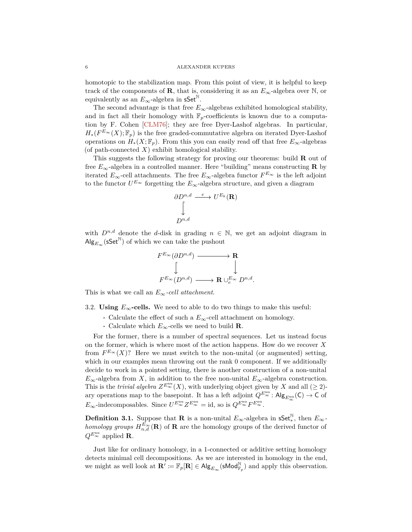<span id="page-5-0"></span>homotopic to the stabilization map. From this point of view, it is helpful to keep track of the components of **R**, that is, considering it as an  $E_{\infty}$ -algebra over N, or equivalently as an  $E_{\infty}$ -algebra in sSet<sup><sup>N</sup>.</sup>

The second advantage is that free  $E_{\infty}$ -algebras exhibited homological stability, and in fact all their homology with  $\mathbb{F}_p$ -coefficients is known due to a computation by F. Cohen [\[CLM76\]](#page-8-8); they are free Dyer-Lashof algebras. In particular,  $H_*(F^{E_{\infty}}(X); \mathbb{F}_p)$  is the free graded-commutative algebra on iterated Dyer-Lashof operations on  $H_*(X; \mathbb{F}_p)$ . From this you can easily read off that free  $E_\infty$ -algebras (of path-connected  $X$ ) exhibit homological stability.

This suggests the following strategy for proving our theorems: build **R** out of free  $E_{\infty}$ -algebra in a controlled manner. Here "building" means constructing **R** by iterated  $E_{\infty}$ -cell attachments. The free  $E_{\infty}$ -algebra functor  $F^{E_{\infty}}$  is the left adjoint to the functor  $U^{E_{\infty}}$  forgetting the  $E_{\infty}$ -algebra structure, and given a diagram

$$
\begin{array}{ccc}\n\partial D^{n,d} & \xrightarrow{e} & U^{E_k}(\mathbf{R}) \\
\downarrow & & \\
D^{n,d} & & \n\end{array}
$$

with  $D^{n,d}$  denote the *d*-disk in grading  $n \in \mathbb{N}$ , we get an adjoint diagram in  $\mathsf{Alg}_{E_{\infty}}(\mathsf{sSet}^{\mathbb{N}})$  of which we can take the pushout

$$
\begin{array}{ccc}\nF^{E_{\infty}}(\partial D^{n,d}) & \longrightarrow & \mathbf{R} \\
& \downarrow & & \downarrow \\
F^{E_{\infty}}(D^{n,d}) & \longrightarrow & \mathbf{R} \cup_{e}^{E_{\infty}} D^{n,d}.\n\end{array}
$$

This is what we call an  $E_{\infty}$ -cell attachment.

3.2. **Using**  $E_\infty$ -cells. We need to able to do two things to make this useful:

- **·** Calculate the effect of such a *E*∞-cell attachment on homology.
- **·** Calculate which *E*∞-cells we need to build **R**.

For the former, there is a number of spectral sequences. Let us instead focus on the former, which is where most of the action happens. How do we recover *X* from  $F^{E_{\infty}}(X)$ ? Here we must switch to the non-unital (or augmented) setting, which in our examples mean throwing out the rank 0 component. If we additionally decide to work in a pointed setting, there is another construction of a non-unital  $E_{\infty}$ -algebra from *X*, in addition to the free non-unital  $E_{\infty}$ -algebra construction. This is the *trivial algebra*  $Z^{E_{\infty}^{\text{nu}}}(X)$ , with underlying object given by *X* and all ( $\geq 2$ )ary operations map to the basepoint. It has a left adjoint  $Q^{E_{\infty}^{\text{nu}}}$ :  $\mathsf{Alg}_{E_{\infty}^{\text{nu}}}(\mathsf{C}) \to \mathsf{C}$  of  $E_{\infty}$ -indecomposables. Since  $U^{E_{\infty}^{\text{nu}}} Z^{E_{\infty}^{\text{nu}}} = \text{id}$ , so is  $Q^{E_{\infty}^{\text{nu}}} F^{E_{\infty}^{\text{nu}}}.$ 

**Definition 3.1.** Suppose that **R** is a non-unital  $E_{\infty}$ -algebra in  $\mathsf{sSet}^{\mathbb{N}}_{*}$ , then  $E_{\infty}$ *homology groups*  $H_{n,d}^{E_{\infty}}(\mathbf{R})$  of **R** are the homology groups of the derived functor of  $Q^{E_{\infty}^{\text{nu}}}$  applied **R**.

Just like for ordinary homology, in a 1-connected or additive setting homology detects minimal cell decompositions. As we are interested in homology in the end, we might as well look at  $\mathbf{R}' := \mathbb{F}_p[\mathbf{R}] \in \mathsf{Alg}_{E_{\infty}}(\mathsf{sMod}^{\mathbb{N}}_{\mathbb{F}_p})$  and apply this observation.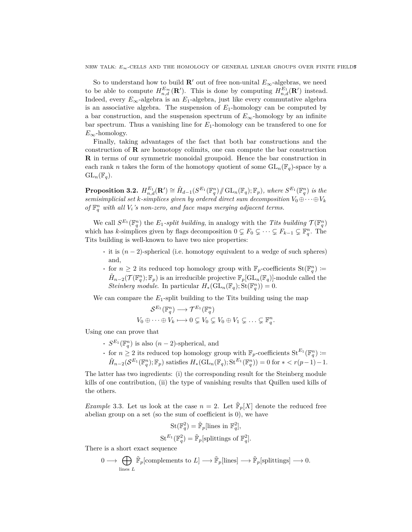NRW TALK: *E<sub>∞</sub>*-CELLS AND THE HOMOLOGY OF GENERAL LINEAR GROUPS OVER FINITE FIELDS

So to understand how to build **R**<sup> $\prime$ </sup> out of free non-unital  $E_{\infty}$ -algebras, we need to be able to compute  $H_{n,d}^{E_{\infty}}(\mathbf{R}')$ . This is done by computing  $H_{n,d}^{E_1}(\mathbf{R}')$  instead. Indeed, every  $E_{\infty}$ -algebra is an  $E_1$ -algebra, just like every commutative algebra is an associative algebra. The suspension of  $E_1$ -homology can be computed by a bar construction, and the suspension spectrum of  $E_{\infty}$ -homology by an infinite bar spectrum. Thus a vanishing line for *E*1-homology can be transfered to one for  $E_{\infty}$ -homology.

Finally, taking advantages of the fact that both bar constructions and the construction of **R** are homotopy colimits, one can compute the bar construction **R** in terms of our symmetric monoidal groupoid. Hence the bar construction in each rank *n* takes the form of the homotopy quotient of some  $GL_n(\mathbb{F}_q)$ -space by a  $GL_n(\mathbb{F}_q)$ .

**Proposition 3.2.**  $H_{n,d}^{E_1}(\mathbf{R}') \cong \tilde{H}_{d-1}(S^{E_1}(\mathbb{F}_q^n)/\mathcal{G}L_n(\mathbb{F}_q^n;\mathbb{F}_p))$ , where  $S^{E_1}(\mathbb{F}_q^n)$  is the *semisimplicial set k-simplices given by ordered direct sum decomposition*  $V_0 \oplus \cdots \oplus V_k$ *of*  $\mathbb{F}_q^n$  *with all*  $V_i$ *'s non-zero, and face maps merging adjacent terms.* 

We call  $S^{E_1}(\mathbb{F}_q^n)$  the  $E_1$ -split building, in analogy with the *Tits building*  $\mathcal{T}(\mathbb{F}_q^n)$ which has *k*-simplices given by flags decomposition  $0 \subsetneq F_0 \subsetneq \cdots \subsetneq F_{k-1} \subsetneq \mathbb{F}_q^n$ . The Tits building is well-known to have two nice properties:

- **·** it is (*n* − 2)-spherical (i.e. homotopy equivalent to a wedge of such spheres) and,
- **•** for  $n \geq 2$  its reduced top homology group with  $\mathbb{F}_p$ -coefficients  $\text{St}(\mathbb{F}_q^n) :=$  $\tilde{H}_{n-2}(\mathcal{T}(\mathbb{F}_q^n);\mathbb{F}_p)$  is an irreducible projective  $\mathbb{F}_p[\mathrm{GL}_n(\mathbb{F}_q)]$ -module called the *Steinberg module.* In particular  $H_*(\mathrm{GL}_n(\mathbb{F}_q); \mathrm{St}(\mathbb{F}_q^n)) = 0.$

We can compare the  $E_1$ -split building to the Tits building using the map

$$
\mathcal{S}^{E_1}(\mathbb{F}_q^n) \longrightarrow \mathcal{T}^{E_1}(\mathbb{F}_q^n)
$$
  

$$
V_0 \oplus \cdots \oplus V_k \longmapsto 0 \subsetneq V_0 \subsetneq V_0 \oplus V_1 \subsetneq \cdots \subsetneq \mathbb{F}_q^n.
$$

Using one can prove that

- **•**  $S^{E_1}(\mathbb{F}_q^n)$  is also  $(n-2)$ -spherical, and
- **•** for  $n \geq 2$  its reduced top homology group with  $\mathbb{F}_p$ -coefficients  $\text{St}^{E_1}(\mathbb{F}_q^n) :=$  $\tilde{H}_{n-2}(\mathcal{S}^{E_1}(\mathbb{F}_q^n); \mathbb{F}_p)$  satisfies  $H_*(\mathrm{GL}_n(\mathbb{F}_q); \mathrm{St}^{E_1}(\mathbb{F}_q^n)) = 0$  for  $* < r(p-1) - 1$ .

The latter has two ingredients: (i) the corresponding result for the Steinberg module kills of one contribution, (ii) the type of vanishing results that Quillen used kills of the others.

*Example* 3.3. Let us look at the case  $n = 2$ . Let  $\tilde{F}_p[X]$  denote the reduced free abelian group on a set (so the sum of coefficient is 0), we have

$$
\operatorname{St}(\mathbb{F}_q^2) = \tilde{\mathbb{F}}_p[\text{lines in } \mathbb{F}_q^2],
$$
  

$$
\operatorname{St}^{E_1}(\mathbb{F}_q^2) = \tilde{\mathbb{F}}_p[\text{splitings of } \mathbb{F}_q^2].
$$

There is a short exact sequence

$$
0 \longrightarrow \bigoplus_{\text{lines } L} \widetilde{\mathbb{F}}_p[\text{complements to } L] \longrightarrow \widetilde{\mathbb{F}}_p[\text{lines}] \longrightarrow \widetilde{\mathbb{F}}_p[\text{splittings}] \longrightarrow 0.
$$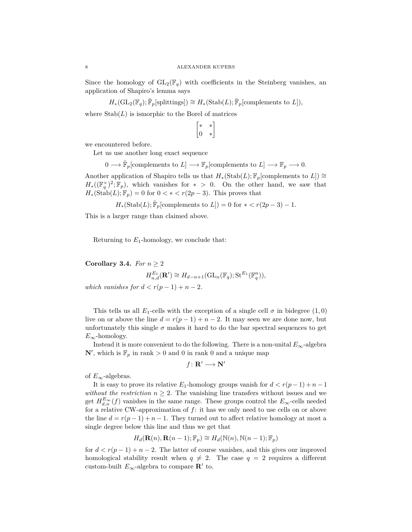Since the homology of  $GL_2(\mathbb{F}_q)$  with coefficients in the Steinberg vanishes, an application of Shapiro's lemma says

 $H_*(\mathrm{GL}_2(\mathbb{F}_q); \tilde{\mathbb{F}}_p[\text{splittings}]) \cong H_*(\mathrm{Stab}(L); \tilde{\mathbb{F}}_p[\text{complements to } L]),$ 

where  $\text{Stab}(L)$  is ismorphic to the Borel of matrices

$$
\begin{bmatrix} * & * \\ 0 & * \end{bmatrix}
$$

we encountered before.

Let us use another long exact sequence

 $0 \longrightarrow \tilde{\mathbb{F}}_p[\text{complements to } L] \longrightarrow \mathbb{F}_p[\text{complements to } L] \longrightarrow \mathbb{F}_p \longrightarrow 0.$ 

Another application of Shapiro tells us that  $H_*(\text{Stab}(L); \mathbb{F}_p[\text{complements to } L]) \cong$  $H_*((\mathbb{F}_q^{\times})^2;\mathbb{F}_p)$ , which vanishes for  $*$  *>* 0. On the other hand, we saw that  $H_*(\text{Stab}(L); \mathbb{F}_p) = 0$  for  $0 < * < r(2p-3)$ . This proves that

 $H_*(\text{Stab}(L); \tilde{\mathbb{F}}_p[\text{complements to } L]) = 0 \text{ for } * \langle r(2p-3) - 1.$ 

This is a larger range than claimed above.

Returning to  $E_1$ -homology, we conclude that:

## **Corollary 3.4.** *For*  $n \geq 2$

$$
H_{n,d}^{E_1}(\mathbf{R}') \cong H_{d-n+1}(\mathrm{GL}_n(\mathbb{F}_q); \mathrm{St}^{E_1}(\mathbb{F}_q^n)),
$$

*which vanishes for*  $d < r(p-1) + n-2$ *.* 

This tells us all  $E_1$ -cells with the exception of a single cell  $\sigma$  in bidegree (1,0) live on or above the line  $d = r(p-1) + n-2$ . It may seen we are done now, but unfortunately this single  $\sigma$  makes it hard to do the bar spectral sequences to get  $E_{\infty}$ -homology.

Instead it is more convenient to do the following. There is a non-unital  $E_{\infty}$ -algebra  $\mathbb{N}'$ , which is  $\mathbb{F}_p$  in rank  $>0$  and 0 in rank 0 and a unique map

$$
f\colon \mathbf{R}'\longrightarrow \mathbf{N}'
$$

of  $E_{\infty}$ -algebras.

It is easy to prove its relative  $E_1$ -homology groups vanish for  $d < r(p-1) + n - 1$ *without the restriction*  $n \geq 2$ . The vanishing line transfers without issues and we get  $H_{d,n}^{E_{\infty}}(f)$  vanishes in the same range. These groups control the  $E_{\infty}$ -cells needed for a relative CW-approximation of *f*: it has we only need to use cells on or above the line  $d = r(p-1) + n - 1$ . They turned out to affect relative homology at most a single degree below this line and thus we get that

$$
H_d(\mathbf{R}(n), \mathbf{R}(n-1); \mathbb{F}_p) \cong H_d(\mathbb{N}(n), \mathbb{N}(n-1); \mathbb{F}_p)
$$

for  $d < r(p-1) + n-2$ . The latter of course vanishes, and this gives our improved homological stability result when  $q \neq 2$ . The case  $q = 2$  requires a different custom-built  $E_{\infty}$ -algebra to compare **R'** to.